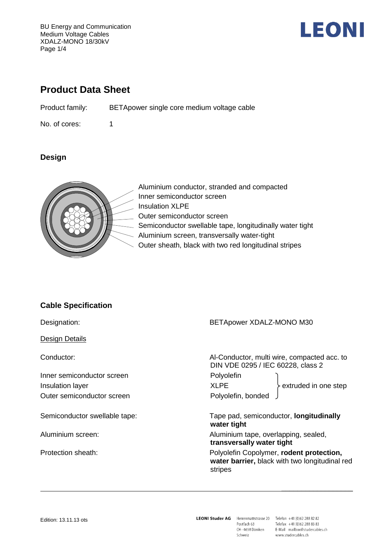BU Energy and Communication Medium Voltage Cables XDALZ-MONO 18/30kV Page  $1/4$ 



# **Product Data Sheet**

Product family: BETApower single core medium voltage cable

No. of cores: 1

### **Design**



Aluminium conductor, stranded and compacted Inner semiconductor screen Insulation XLPE Outer semiconductor screen Semiconductor swellable tape, longitudinally water tight Aluminium screen, transversally water-tight Outer sheath, black with two red longitudinal stripes

## **Cable Specification**

Designation: BETApower XDALZ-MONO M30 Design Details Conductor: Al-Conductor, multi wire, compacted acc. to DIN VDE 0295 / IEC 60228, class 2 Inner semiconductor screen Polyolefin Insulation layer extruded in one step and the MLPE that is extruded in one step Outer semiconductor screen example and provide Polyolefin, bonded Semiconductor swellable tape: Tape pad, semiconductor, **longitudinally water tight** Aluminium screen: Aluminium tape, overlapping, sealed, **transversally water tight** Protection sheath: Polyolefin Copolymer, **rodent protection, water barrier,** black with two longitudinal red stripes

LEONI Studer AG Herrenmattstrasse 20 Telefon +41 (0)62 288 82 82 Postfach 63 CH-4658 Däniken Schweiz

Telefax +41 (0)62 288 83 83 E-Mail mailbox@studercables.ch www.studercables.ch

 $\overline{\phantom{a}}$  , and the set of the set of the set of the set of the set of the set of the set of the set of the set of the set of the set of the set of the set of the set of the set of the set of the set of the set of the s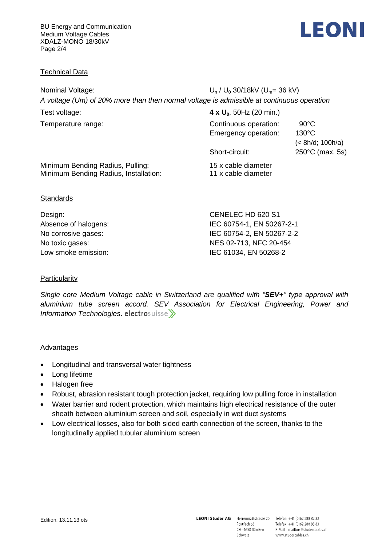

#### Technical Data

Nominal Voltage:  $U_n / U_0$  30/18kV ( $U_m = 36$  kV) *A voltage (Um) of 20% more than then normal voltage is admissible at continuous operation*

Test voltage: **4 x U0**, 50Hz (20 min.)

Temperature range: Temperature range: Continuous operation: 90°C Emergency operation: 130°C

(< 8h/d; 100h/a) Short-circuit: 250°C (max. 5s)

Minimum Bending Radius, Pulling: 15 x cable diameter Minimum Bending Radius, Installation: 11 x cable diameter

#### **Standards**

| Design:              | CENELEC HD 620 S1         |
|----------------------|---------------------------|
| Absence of halogens: | IEC 60754-1, EN 50267-2-1 |
| No corrosive gases:  | IEC 60754-2, EN 50267-2-2 |
| No toxic gases:      | NES 02-713, NFC 20-454    |
| Low smoke emission:  | IEC 61034, EN 50268-2     |

### **Particularity**

*Single core Medium Voltage cable in Switzerland are qualified with "SEV+" type approval with aluminium tube screen accord. SEV Association for Electrical Engineering, Power and Information Technologies*.

### **Advantages**

- Longitudinal and transversal water tightness
- Long lifetime
- Halogen free
- Robust, abrasion resistant tough protection jacket, requiring low pulling force in installation
- Water barrier and rodent protection, which maintains high electrical resistance of the outer sheath between aluminium screen and soil, especially in wet duct systems
- Low electrical losses, also for both sided earth connection of the screen, thanks to the longitudinally applied tubular aluminium screen

Schweiz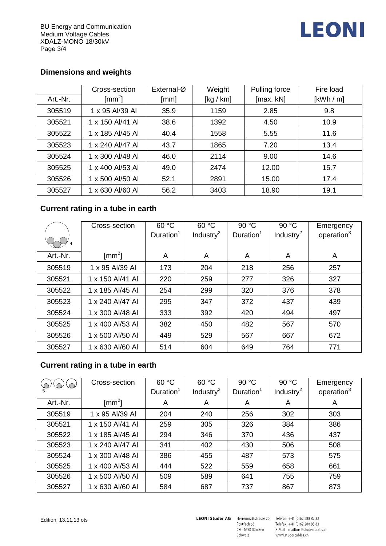

# **Dimensions and weights**

|          | Cross-section    | External- $\varnothing$ | Weight    | Pulling force | Fire load |
|----------|------------------|-------------------------|-----------|---------------|-----------|
| Art.-Nr. | $\text{[mm}^2$ ] | [mm]                    | [kg / km] | [max. kN]     | [kWh/m]   |
| 305519   | 1 x 95 Al/39 Al  | 35.9                    | 1159      | 2.85          | 9.8       |
| 305521   | 1 x 150 Al/41 Al | 38.6                    | 1392      | 4.50          | 10.9      |
| 305522   | 1 x 185 Al/45 Al | 40.4                    | 1558      | 5.55          | 11.6      |
| 305523   | 1 x 240 Al/47 Al | 43.7                    | 1865      | 7.20          | 13.4      |
| 305524   | 1 x 300 Al/48 Al | 46.0                    | 2114      | 9.00          | 14.6      |
| 305525   | 1 x 400 Al/53 Al | 49.0                    | 2474      | 12.00         | 15.7      |
| 305526   | 1 x 500 Al/50 Al | 52.1                    | 2891      | 15.00         | 17.4      |
| 305527   | 1 x 630 Al/60 Al | 56.2                    | 3403      | 18.90         | 19.1      |

# **Current rating in a tube in earth**

|          | Cross-section    | 60 °C<br>Duration <sup>1</sup> | 60 °C<br>Industry <sup>2</sup> | 90 °C<br>Duration <sup>1</sup> | 90 °C<br>Industry $^2$ | Emergency<br>operation <sup>3</sup> |
|----------|------------------|--------------------------------|--------------------------------|--------------------------------|------------------------|-------------------------------------|
| Art.-Nr. | [ $mm2$ ]        | A                              | A                              | A                              | A                      | A                                   |
| 305519   | 1 x 95 Al/39 Al  | 173                            | 204                            | 218                            | 256                    | 257                                 |
| 305521   | 1 x 150 Al/41 Al | 220                            | 259                            | 277                            | 326                    | 327                                 |
| 305522   | 1 x 185 Al/45 Al | 254                            | 299                            | 320                            | 376                    | 378                                 |
| 305523   | 1 x 240 Al/47 Al | 295                            | 347                            | 372                            | 437                    | 439                                 |
| 305524   | 1 x 300 Al/48 Al | 333                            | 392                            | 420                            | 494                    | 497                                 |
| 305525   | 1 x 400 Al/53 Al | 382                            | 450                            | 482                            | 567                    | 570                                 |
| 305526   | 1 x 500 Al/50 Al | 449                            | 529                            | 567                            | 667                    | 672                                 |
| 305527   | 1 x 630 Al/60 Al | 514                            | 604                            | 649                            | 764                    | 771                                 |

### **Current rating in a tube in earth**

|          | Cross-section    | 60 °C<br>Duration <sup>1</sup> | 60 °C<br>Industry $2$ | 90 °C<br>Duration <sup>1</sup> | 90 °C<br>Industry <sup>2</sup> | Emergency<br>operation <sup>3</sup> |
|----------|------------------|--------------------------------|-----------------------|--------------------------------|--------------------------------|-------------------------------------|
| Art.-Nr. | $\text{[mm}^2$   | A                              | A                     | A                              | A                              | A                                   |
| 305519   | 1 x 95 Al/39 Al  | 204                            | 240                   | 256                            | 302                            | 303                                 |
| 305521   | 1 x 150 Al/41 Al | 259                            | 305                   | 326                            | 384                            | 386                                 |
| 305522   | 1 x 185 Al/45 Al | 294                            | 346                   | 370                            | 436                            | 437                                 |
| 305523   | 1 x 240 Al/47 Al | 341                            | 402                   | 430                            | 506                            | 508                                 |
| 305524   | 1 x 300 Al/48 Al | 386                            | 455                   | 487                            | 573                            | 575                                 |
| 305525   | 1 x 400 Al/53 Al | 444                            | 522                   | 559                            | 658                            | 661                                 |
| 305526   | 1 x 500 Al/50 Al | 509                            | 589                   | 641                            | 755                            | 759                                 |
| 305527   | 1 x 630 Al/60 Al | 584                            | 687                   | 737                            | 867                            | 873                                 |